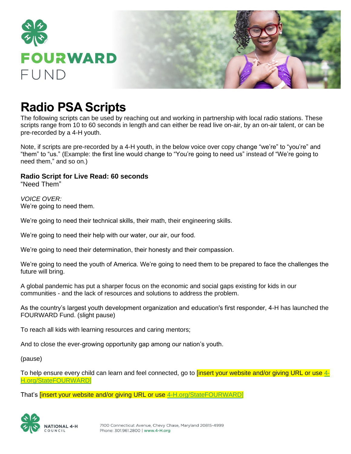

# **Radio PSA Scripts**

The following scripts can be used by reaching out and working in partnership with local radio stations. These scripts range from 10 to 60 seconds in length and can either be read live on-air, by an on-air talent, or can be pre-recorded by a 4-H youth.

Note, if scripts are pre-recorded by a 4-H youth, in the below voice over copy change "we're" to "you're" and "them" to "us." (Example: the first line would change to "You're going to need us" instead of "We're going to need them," and so on.)

**Radio Script for Live Read: 60 seconds** "Need Them"

*VOICE OVER:* We're going to need them.

We're going to need their technical skills, their math, their engineering skills.

We're going to need their help with our water, our air, our food.

We're going to need their determination, their honesty and their compassion.

We're going to need the youth of America. We're going to need them to be prepared to face the challenges the future will bring.

A global pandemic has put a sharper focus on the economic and social gaps existing for kids in our communities - and the lack of resources and solutions to address the problem.

As the country's largest youth development organization and education's first responder, 4-H has launched the FOURWARD Fund. (slight pause)

To reach all kids with learning resources and caring mentors;

And to close the ever-growing opportunity gap among our nation's youth.

(pause)

To help ensure every child can learn and feel connected, go to **[insert your website and/or giving URL or use [4-](https://national4h.givenow.stratuslive.com/state-fourward?slca=0001206&slcag=0001206-1)** [H.org/StateFOURWARD\]](https://national4h.givenow.stratuslive.com/state-fourward?slca=0001206&slcag=0001206-1)

That's **[insert your website and/or giving URL or use** [4-H.org/StateFOURWARD\]](https://national4h.givenow.stratuslive.com/state-fourward?slca=0001206&slcag=0001206-1)